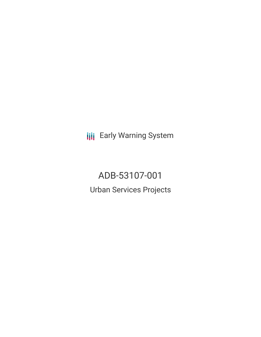**III** Early Warning System

ADB-53107-001 Urban Services Projects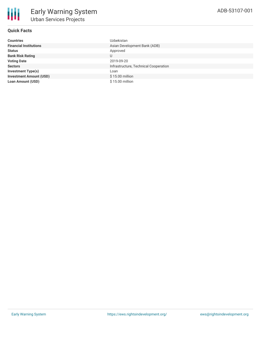## **Quick Facts**

| <b>Countries</b>               | Uzbekistan                            |
|--------------------------------|---------------------------------------|
| <b>Financial Institutions</b>  | Asian Development Bank (ADB)          |
| <b>Status</b>                  | Approved                              |
| <b>Bank Risk Rating</b>        | U                                     |
| <b>Voting Date</b>             | 2019-09-20                            |
| <b>Sectors</b>                 | Infrastructure, Technical Cooperation |
| <b>Investment Type(s)</b>      | Loan                                  |
| <b>Investment Amount (USD)</b> | \$15.00 million                       |
| <b>Loan Amount (USD)</b>       | \$15.00 million                       |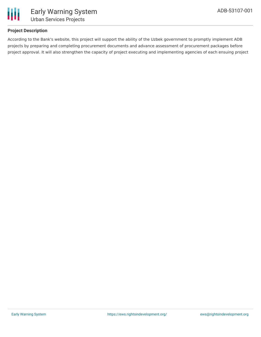

### **Project Description**

According to the Bank's website, this project will support the ability of the Uzbek government to promptly implement ADB projects by preparing and completing procurement documents and advance assessment of procurement packages before project approval. It will also strengthen the capacity of project executing and implementing agencies of each ensuing project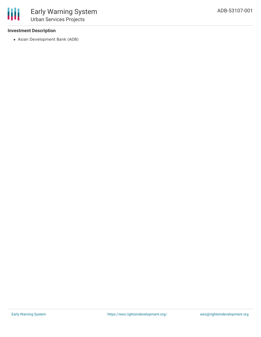#### **Investment Description**

冊

Asian Development Bank (ADB)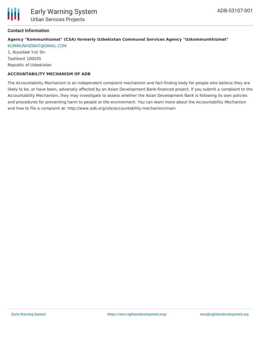## **Contact Information**

# **Agency "Kommunhizmat" (CSA) formerly Uzbekistan Communal Services Agency "Uzkommunkhizmat"**

[KOMMUNHIZMAT@GMAIL.COM](mailto:KOMMUNHIZMAT@GMAIL.COM) 1, Niyozbek Yuli Str. Tashkent 100035 Republic of Uzbekistan

## **ACCOUNTABILITY MECHANISM OF ADB**

The Accountability Mechanism is an independent complaint mechanism and fact-finding body for people who believe they are likely to be, or have been, adversely affected by an Asian Development Bank-financed project. If you submit a complaint to the Accountability Mechanism, they may investigate to assess whether the Asian Development Bank is following its own policies and procedures for preventing harm to people or the environment. You can learn more about the Accountability Mechanism and how to file a complaint at: http://www.adb.org/site/accountability-mechanism/main